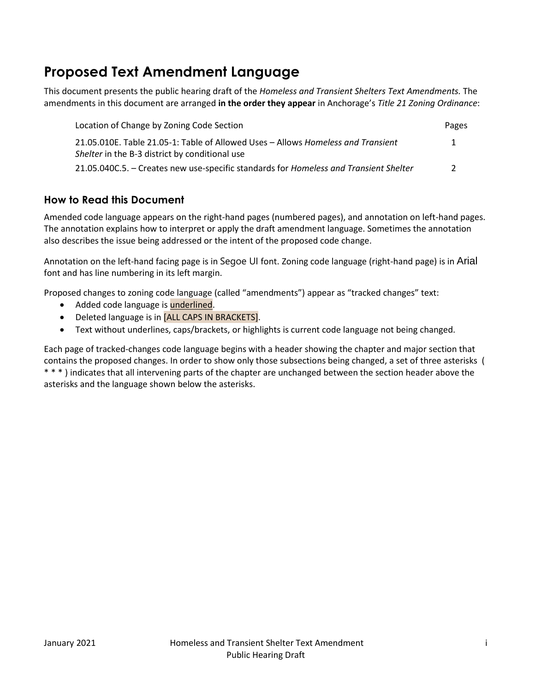# **Proposed Text Amendment Language**

This document presents the public hearing draft of the *Homeless and Transient Shelters Text Amendments.* The amendments in this document are arranged **in the order they appear** in Anchorage's *Title 21 Zoning Ordinance*:

| Location of Change by Zoning Code Section                                             | Pages         |
|---------------------------------------------------------------------------------------|---------------|
| 21.05.010E. Table 21.05-1: Table of Allowed Uses - Allows Homeless and Transient      | 1             |
| Shelter in the B-3 district by conditional use                                        |               |
| 21.05.040C.5. - Creates new use-specific standards for Homeless and Transient Shelter | $\mathcal{P}$ |

## **How to Read this Document**

Amended code language appears on the right-hand pages (numbered pages), and annotation on left-hand pages. The annotation explains how to interpret or apply the draft amendment language. Sometimes the annotation also describes the issue being addressed or the intent of the proposed code change.

Annotation on the left-hand facing page is in Segoe UI font. Zoning code language (right-hand page) is in Arial font and has line numbering in its left margin.

Proposed changes to zoning code language (called "amendments") appear as "tracked changes" text:

- Added code language is **underlined**.
- Deleted language is in [ALL CAPS IN BRACKETS].
- Text without underlines, caps/brackets, or highlights is current code language not being changed.

Each page of tracked-changes code language begins with a header showing the chapter and major section that contains the proposed changes. In order to show only those subsections being changed, a set of three asterisks ( \* \* \* ) indicates that all intervening parts of the chapter are unchanged between the section header above the asterisks and the language shown below the asterisks.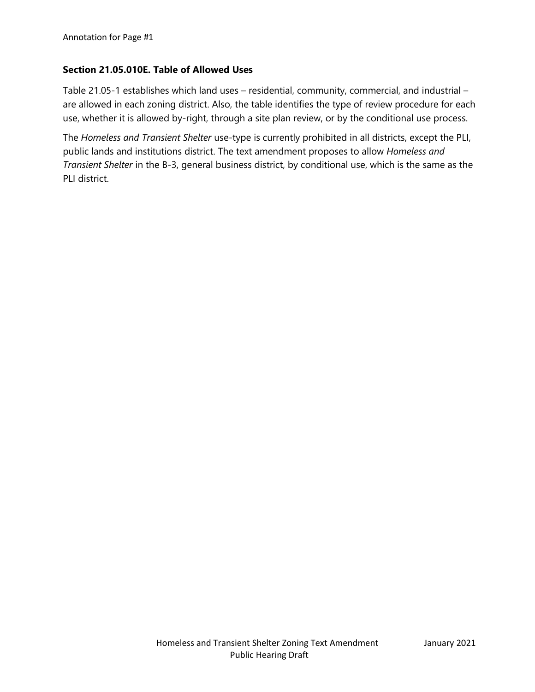#### **Section 21.05.010E. Table of Allowed Uses**

Table 21.05-1 establishes which land uses – residential, community, commercial, and industrial – are allowed in each zoning district. Also, the table identifies the type of review procedure for each use, whether it is allowed by-right, through a site plan review, or by the conditional use process.

The *Homeless and Transient Shelter* use-type is currently prohibited in all districts, except the PLI, public lands and institutions district. The text amendment proposes to allow *Homeless and Transient Shelter* in the B-3, general business district, by conditional use, which is the same as the PLI district.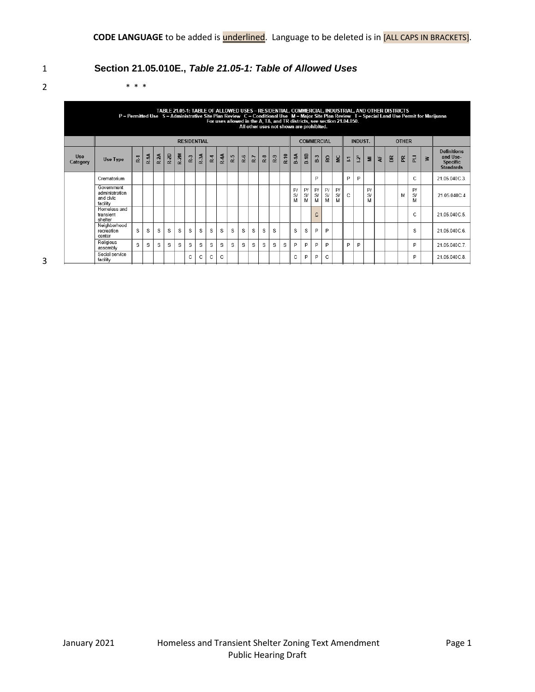## 1 **Section 21.05.010E.,** *Table 21.05-1: Table of Allowed Uses*

2 \* \* \*

| TABLE 21.05-1: TABLE OF ALLOWED USES - RESIDENTIAL, COMMERCIAL, INDUSTRIAL, AND OTHER DISTRICTS<br>P = Permitted Use S = Administrative Site Plan Review C = Conditional Use M = Major Site Plan Review T = Special Land Use Permit for Mar<br>For uses allowed in the A, TA, and TR districts, see section 21.04.050.<br>All other uses not shown are prohibited. |                   |                |              |
|--------------------------------------------------------------------------------------------------------------------------------------------------------------------------------------------------------------------------------------------------------------------------------------------------------------------------------------------------------------------|-------------------|----------------|--------------|
| <b>RESIDENTIAL</b>                                                                                                                                                                                                                                                                                                                                                 | <b>COMMERCIAL</b> | <b>INDUST.</b> | <b>OTHER</b> |
|                                                                                                                                                                                                                                                                                                                                                                    |                   |                |              |

| <b>Use</b><br>Category | <b>Use Type</b>                                       | R <sub>1</sub> | $R-1A$ | R-2A | R-2D | $\geqslant$<br>œ | R <sub>3</sub> | $R-3A$ | R <sub>4</sub> | $\ddot{ }$<br>œ | R-5 | R-6 | R-7 | $R-8$ | R.9 | $R-10$ | $B-1A$        | $B-1B$        | B.3            | RO.           | $\overline{\mathbf{M}}$ | $\overline{\mathbb{Z}}$ | $\bar{\mathbf{2}}$ | Ξ             | 눙 | $\mathbbmss{E}$ | $\mathbb R$ | 군             | $\geq$ | <b>Definitions</b><br>and Use-<br><b>Specific</b><br><b>Standards</b> |
|------------------------|-------------------------------------------------------|----------------|--------|------|------|------------------|----------------|--------|----------------|-----------------|-----|-----|-----|-------|-----|--------|---------------|---------------|----------------|---------------|-------------------------|-------------------------|--------------------|---------------|---|-----------------|-------------|---------------|--------|-----------------------------------------------------------------------|
|                        | Crematorium                                           |                |        |      |      |                  |                |        |                |                 |     |     |     |       |     |        |               |               | P              |               |                         | P                       | P                  |               |   |                 |             | C             |        | 21.05.040C.3.                                                         |
|                        | Government<br>administration<br>and civic<br>facility |                |        |      |      |                  |                |        |                |                 |     |     |     |       |     |        | P/<br>S/<br>M | P/<br>S/<br>M | P/<br>S/<br>M  | P/<br>S/<br>M | P/<br>S/<br>M           | C.                      |                    | P/<br>S/<br>М |   |                 | M           | P/<br>S/<br>M |        | 21.05.040C.4                                                          |
|                        | Homeless and<br>transient<br>shelter                  |                |        |      |      |                  |                |        |                |                 |     |     |     |       |     |        |               |               | $\overline{C}$ |               |                         |                         |                    |               |   |                 |             | C             |        | 21.05.040C.5.                                                         |
|                        | Neighborhood<br>recreation<br>center                  | S.             | S      | S    | S    | S                | S              | S      | s              | s               | S   | S   | S   | S     | S   |        | S             | S             | P              | P             |                         |                         |                    |               |   |                 |             | S             |        | 21.05.040C.6.                                                         |
|                        | Religious<br>assembly                                 | S              | S      | S    | S    | S                | S              | S      | S              | S               | S   | S   | S   | S     | S   | S      | P             | P             | P              | P             |                         | D                       | P                  |               |   |                 |             | P             |        | 21.05.040C.7.                                                         |
|                        | Social service<br>facility                            |                |        |      |      |                  | $\sim$<br>U    | C      | C              | C               |     |     |     |       |     |        | C             | P             | P              | C             |                         |                         |                    |               |   |                 |             | P             |        | 21.05.040C.8.                                                         |

3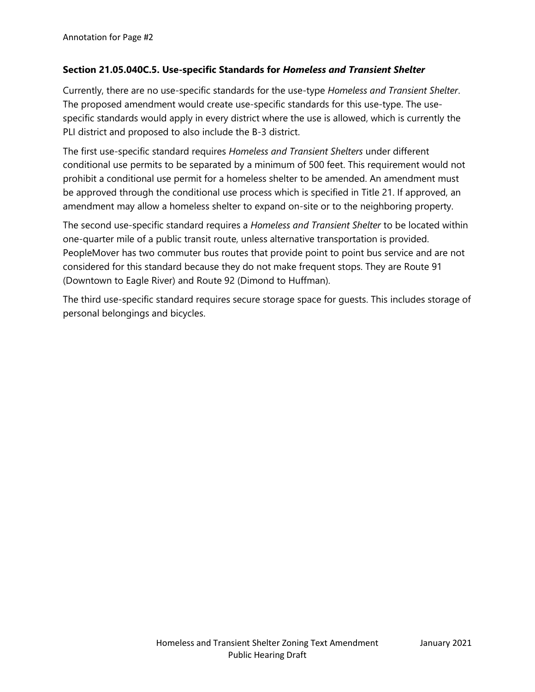#### **Section 21.05.040C.5. Use-specific Standards for** *Homeless and Transient Shelter*

Currently, there are no use-specific standards for the use-type *Homeless and Transient Shelter*. The proposed amendment would create use-specific standards for this use-type. The usespecific standards would apply in every district where the use is allowed, which is currently the PLI district and proposed to also include the B-3 district.

The first use-specific standard requires *Homeless and Transient Shelters* under different conditional use permits to be separated by a minimum of 500 feet. This requirement would not prohibit a conditional use permit for a homeless shelter to be amended. An amendment must be approved through the conditional use process which is specified in Title 21. If approved, an amendment may allow a homeless shelter to expand on-site or to the neighboring property.

The second use-specific standard requires a *Homeless and Transient Shelter* to be located within one-quarter mile of a public transit route, unless alternative transportation is provided. PeopleMover has two commuter bus routes that provide point to point bus service and are not considered for this standard because they do not make frequent stops. They are Route 91 (Downtown to Eagle River) and Route 92 (Dimond to Huffman).

The third use-specific standard requires secure storage space for guests. This includes storage of personal belongings and bicycles.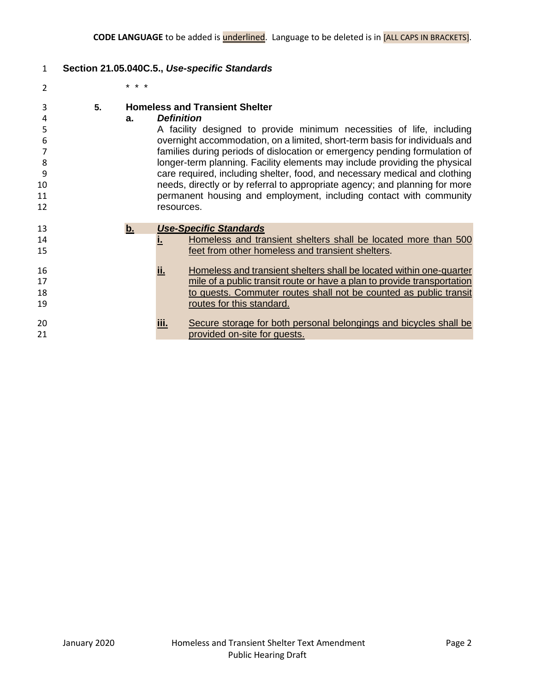### **Section 21.05.040C.5.,** *Use-specific Standards*

\* \* \*

| 3<br>4<br>5<br>6<br>8<br>9<br>10<br>11<br>12 | 5. | a. | <b>Definition</b><br>resources. | <b>Homeless and Transient Shelter</b><br>A facility designed to provide minimum necessities of life, including<br>overnight accommodation, on a limited, short-term basis for individuals and<br>families during periods of dislocation or emergency pending formulation of<br>longer-term planning. Facility elements may include providing the physical<br>care required, including shelter, food, and necessary medical and clothing<br>needs, directly or by referral to appropriate agency; and planning for more<br>permanent housing and employment, including contact with community |
|----------------------------------------------|----|----|---------------------------------|----------------------------------------------------------------------------------------------------------------------------------------------------------------------------------------------------------------------------------------------------------------------------------------------------------------------------------------------------------------------------------------------------------------------------------------------------------------------------------------------------------------------------------------------------------------------------------------------|
| 13<br>14                                     |    | b. |                                 | <b>Use-Specific Standards</b><br>Homeless and transient shelters shall be located more than 500                                                                                                                                                                                                                                                                                                                                                                                                                                                                                              |
| 15                                           |    |    |                                 | feet from other homeless and transient shelters.                                                                                                                                                                                                                                                                                                                                                                                                                                                                                                                                             |
| 16                                           |    |    | ii.                             | Homeless and transient shelters shall be located within one-quarter                                                                                                                                                                                                                                                                                                                                                                                                                                                                                                                          |
| 17                                           |    |    |                                 | mile of a public transit route or have a plan to provide transportation                                                                                                                                                                                                                                                                                                                                                                                                                                                                                                                      |
| 18                                           |    |    |                                 | to quests. Commuter routes shall not be counted as public transit                                                                                                                                                                                                                                                                                                                                                                                                                                                                                                                            |
| 19                                           |    |    |                                 | routes for this standard.                                                                                                                                                                                                                                                                                                                                                                                                                                                                                                                                                                    |
| 20                                           |    |    | iii.                            | Secure storage for both personal belongings and bicycles shall be                                                                                                                                                                                                                                                                                                                                                                                                                                                                                                                            |
| 21                                           |    |    |                                 | provided on-site for quests.                                                                                                                                                                                                                                                                                                                                                                                                                                                                                                                                                                 |